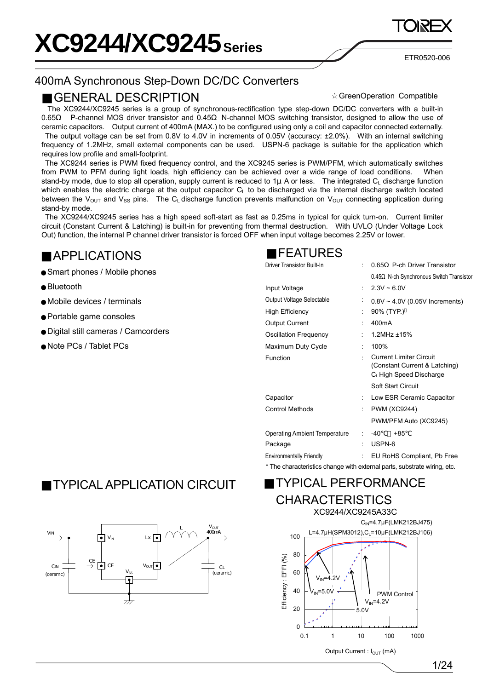ETR0520-006

### 400mA Synchronous Step-Down DC/DC Converters

#### GENERAL DESCRIPTION

GreenOperation Compatible

The XC9244/XC9245 series is a group of synchronous-rectification type step-down DC/DC converters with a built-in 0.65 P-channel MOS driver transistor and 0.45 N-channel MOS switching transistor, designed to allow the use of ceramic capacitors. Output current of 400mA (MAX.) to be configured using only a coil and capacitor connected externally. The output voltage can be set from 0.8V to 4.0V in increments of 0.05V (accuracy: ±2.0%). With an internal switching frequency of 1.2MHz, small external components can be used. USPN-6 package is suitable for the application which requires low profile and small-footprint.

 The XC9244 series is PWM fixed frequency control, and the XC9245 series is PWM/PFM, which automatically switches from PWM to PFM during light loads, high efficiency can be achieved over a wide range of load conditions. When stand-by mode, due to stop all operation, supply current is reduced to  $1\mu$  A or less. The integrated C<sub>L</sub> discharge function which enables the electric charge at the output capacitor C<sub>L</sub> to be discharged via the internal discharge switch located between the V<sub>OUT</sub> and V<sub>SS</sub> pins. The C<sub>L</sub> discharge function prevents malfunction on V<sub>OUT</sub> connecting application during stand-by mode.

 The XC9244/XC9245 series has a high speed soft-start as fast as 0.25ms in typical for quick turn-on. Current limiter circuit (Constant Current & Latching) is built-in for preventing from thermal destruction. With UVLO (Under Voltage Lock Out) function, the internal P channel driver transistor is forced OFF when input voltage becomes 2.25V or lower.

### APPLICATIONS

Smart phones / Mobile phones

Bluetooth

Mobile devices / terminals

Portable game consoles

Digital still cameras / Camcorders

Note PCs / Tablet PCs

### FEATURES

| Driver Transistor Built-In                                               |    | P-ch Driver Transistor<br>0.65                                                                         |
|--------------------------------------------------------------------------|----|--------------------------------------------------------------------------------------------------------|
|                                                                          |    | N-ch Synchronous Switch Transistor<br>0.45                                                             |
| Input Voltage                                                            | ٠. | $2.3V \sim 6.0V$                                                                                       |
| Output Voltage Selectable                                                |    | $0.8V \sim 4.0V$ (0.05V Increments)                                                                    |
| <b>High Efficiency</b>                                                   |    | 90% (TYP.)                                                                                             |
| <b>Output Current</b>                                                    |    | 400 <sub>m</sub> A                                                                                     |
| <b>Oscillation Frequency</b>                                             |    | $1.2$ MHz $±15%$                                                                                       |
| Maximum Duty Cycle                                                       | ÷  | 100%                                                                                                   |
| Function                                                                 | ٠  | <b>Current Limiter Circuit</b><br>(Constant Current & Latching)<br>C <sub>L</sub> High Speed Discharge |
|                                                                          |    | <b>Soft Start Circuit</b>                                                                              |
| Capacitor                                                                |    | Low ESR Ceramic Capacitor                                                                              |
| <b>Control Methods</b>                                                   | t. | <b>PWM (XC9244)</b>                                                                                    |
|                                                                          |    | PWM/PFM Auto (XC9245)                                                                                  |
| <b>Operating Ambient Temperature</b>                                     | t. | -40<br>+85                                                                                             |
| Package                                                                  | ۰  | USPN-6                                                                                                 |
| <b>Environmentally Friendly</b>                                          | ÷. | EU RoHS Compliant, Pb Free                                                                             |
| * The characteristics change with external parts, substrate wiring, etc. |    |                                                                                                        |

### TYPICAL APPLICATION CIRCUIT TYPICAL PERFORMANCE





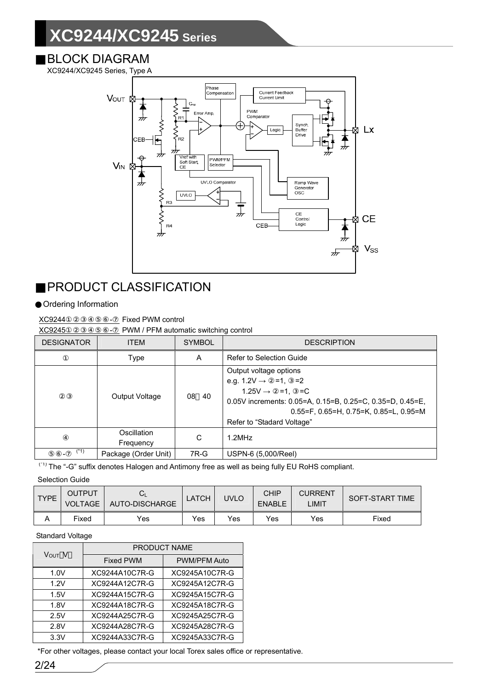#### BLOCK DIAGRAM

XC9244/XC9245 Series, Type A



### PRODUCT CLASSIFICATION

#### Ordering Information

XC9244 **DEPERTY** Fixed PWM control

XC9245①②③④⑤⑥- PWM / PFM automatic switching control

| <b>DESIGNATOR</b> | <b>ITEM</b>              | <b>SYMBOL</b> | <b>DESCRIPTION</b>                                                                                                                                                                                                                                   |
|-------------------|--------------------------|---------------|------------------------------------------------------------------------------------------------------------------------------------------------------------------------------------------------------------------------------------------------------|
|                   | Type                     | A             | Refer to Selection Guide                                                                                                                                                                                                                             |
|                   | Output Voltage           | 08 40         | Output voltage options<br>e.g. $1.2V \rightarrow =1$ , =2<br>$1.25V \rightarrow =1, =C$<br>0.05V increments: 0.05=A, 0.15=B, 0.25=C, 0.35=D, 0.45=E,<br>$0.55 = F$ , $0.65 = H$ , $0.75 = K$ , $0.85 = L$ , $0.95 = M$<br>Refer to "Stadard Voltage" |
|                   | Oscillation<br>Frequency | C             | 1.2MHz                                                                                                                                                                                                                                               |
| $(*1)$            | Package (Order Unit)     | 7R-G          | USPN-6 (5,000/Reel)                                                                                                                                                                                                                                  |

<sup>(\*1)</sup> The "-G" suffix denotes Halogen and Antimony free as well as being fully EU RoHS compliant.

Selection Guide

| <b>TYPE</b> | OUTPUT<br><b>VOLTAGE</b> | AUTO-DISCHARGE | <b>LATCH</b> | <b>JVLO</b> | CHIP<br><b>ENABLE</b> | <b>CURRENT</b><br>LIMIT | SOFT-START TIME |
|-------------|--------------------------|----------------|--------------|-------------|-----------------------|-------------------------|-----------------|
| A           | Fixed                    | Yes            | Yes          | Yes         | Yes                   | Yes                     | Fixed           |

#### Standard Voltage

| V <sub>OUT</sub> V | <b>PRODUCT NAME</b> |                     |  |  |  |
|--------------------|---------------------|---------------------|--|--|--|
|                    | <b>Fixed PWM</b>    | <b>PWM/PFM Auto</b> |  |  |  |
| 1.0V               | XC9244A10C7R-G      | XC9245A10C7R-G      |  |  |  |
| 1.2V               | XC9244A12C7R-G      | XC9245A12C7R-G      |  |  |  |
| 1.5V               | XC9244A15C7R-G      | XC9245A15C7R-G      |  |  |  |
| 1.8V               | XC9244A18C7R-G      | XC9245A18C7R-G      |  |  |  |
| 2.5V               | XC9244A25C7R-G      | XC9245A25C7R-G      |  |  |  |
| 2.8V               | XC9244A28C7R-G      | XC9245A28C7R-G      |  |  |  |
| 3.3V               | XC9244A33C7R-G      | XC9245A33C7R-G      |  |  |  |

\*For other voltages, please contact your local Torex sales office or representative.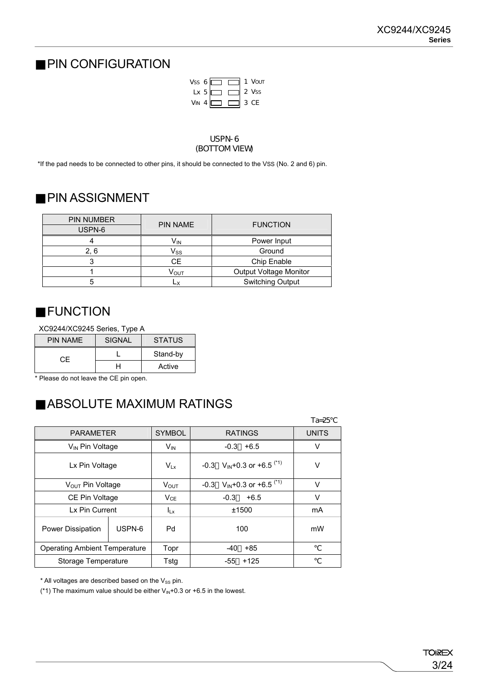### PIN CONFIGURATION



#### USPN-6 (BOTTOM VIEW)

\*If the pad needs to be connected to other pins, it should be connected to the VSS (No. 2 and 6) pin.

### PIN ASSIGNMENT

| <b>PIN NUMBER</b> | <b>PIN NAME</b>            | <b>FUNCTION</b>         |
|-------------------|----------------------------|-------------------------|
| USPN-6            |                            |                         |
|                   | V <sub>IN</sub>            | Power Input             |
| 2. 6              | $\mathsf{V}_{\mathsf{SS}}$ | Ground                  |
|                   | <b>CE</b>                  | Chip Enable             |
|                   | Ѵѹт                        | Output Voltage Monitor  |
|                   |                            | <b>Switching Output</b> |

### FUNCTION

XC9244/XC9245 Series, Type A

| <b>PIN NAME</b> | <b>SIGNAL</b> | <b>STATUS</b> |
|-----------------|---------------|---------------|
| CE              |               | Stand-by      |
|                 |               | Active        |

\* Please do not leave the CE pin open.

### ABSOLUTE MAXIMUM RATINGS

|                                      |        |                 |                                            | $Ta = 25$    |
|--------------------------------------|--------|-----------------|--------------------------------------------|--------------|
| <b>PARAMETER</b>                     |        | <b>SYMBOL</b>   | <b>RATINGS</b>                             | <b>UNITS</b> |
| V <sub>IN</sub> Pin Voltage          |        | V <sub>IN</sub> | $+6.5$<br>$-0.3$                           | V            |
| Lx Pin Voltage                       |        | $V_{Lx}$        | -0.3 $V_{IN}$ +0.3 or +6.5 <sup>(*1)</sup> | v            |
| V <sub>OUT</sub> Pin Voltage         |        | <b>VOUT</b>     | -0.3 $V_{IN}$ +0.3 or +6.5 <sup>(*1)</sup> | v            |
| CE Pin Voltage                       |        | $V_{CE}$        | $-0.3$<br>$+6.5$                           | v            |
| Lx Pin Current                       |        | $I_{Lx}$        | ±1500                                      | mA           |
| <b>Power Dissipation</b>             | USPN-6 | Pd              | 100                                        | mW           |
| <b>Operating Ambient Temperature</b> |        | Topr            | $-40$<br>+85                               |              |
| Storage Temperature                  |        | Tstq            | -55<br>$+125$                              |              |

 $*$  All voltages are described based on the  $V_{SS}$  pin.

(\*1) The maximum value should be either  $V_{\text{IN}}+0.3$  or  $+6.5$  in the lowest.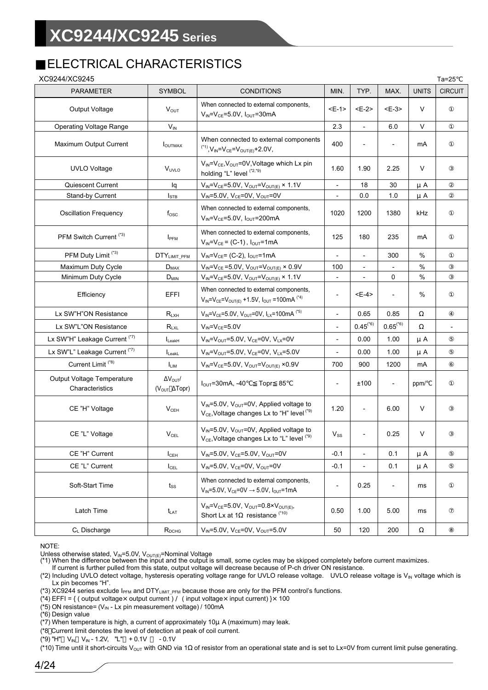### ELECTRICAL CHARACTERISTICS

| XC9244/XC9245                                 |                                                         |                                                                                                                           |                              |                          |                          |              | $Ta=25$        |
|-----------------------------------------------|---------------------------------------------------------|---------------------------------------------------------------------------------------------------------------------------|------------------------------|--------------------------|--------------------------|--------------|----------------|
| <b>PARAMETER</b>                              | <b>SYMBOL</b>                                           | <b>CONDITIONS</b>                                                                                                         | MIN.                         | TYP.                     | MAX.                     | <b>UNITS</b> | <b>CIRCUIT</b> |
| Output Voltage                                | $V_{OUT}$                                               | When connected to external components,<br>$V_{IN} = V_{CE} = 5.0V$ , $I_{OUT} = 30mA$                                     | <e-1></e-1>                  | <e-2></e-2>              | $E-3>$                   | V            |                |
| <b>Operating Voltage Range</b>                | $V_{IN}$                                                |                                                                                                                           | 2.3                          | $\overline{\phantom{a}}$ | 6.0                      | V            |                |
| Maximum Output Current                        | <b>I</b> OUTMAX                                         | When connected to external components<br>$^{(4)}$ , V <sub>IN</sub> =V <sub>CE</sub> =V <sub>OUT(E)</sub> +2.0V,          | 400                          |                          |                          | mA           |                |
| <b>UVLO Voltage</b>                           | V <sub>UVLO</sub>                                       | $V_{IN} = V_{CE}$ , $V_{OUT} = 0V$ , Voltage which Lx pin<br>holding "L" level (*2,*9)                                    | 1.60                         | 1.90                     | 2.25                     | V            |                |
| Quiescent Current                             | lq                                                      | $V_{IN} = V_{CE} = 5.0V$ , $V_{OUT} = V_{OUT(E)} \times 1.1V$                                                             |                              | 18                       | 30                       | μA           |                |
| Stand-by Current                              | $I_{\text{STB}}$                                        | $V_{IN} = 5.0V$ , $V_{CE} = 0V$ , $V_{OUT} = 0V$                                                                          | $\overline{\phantom{a}}$     | 0.0                      | 1.0                      | μA           |                |
| <b>Oscillation Frequency</b>                  | $f_{\rm osc}$                                           | When connected to external components,<br>$V_{IN} = V_{CE} = 5.0V$ , $I_{OUT} = 200mA$                                    | 1020                         | 1200                     | 1380                     | kHz          |                |
| PFM Switch Current <sup>(*3)</sup>            | I <sub>PFM</sub>                                        | When connected to external components,<br>$V_{IN} = V_{CE} = (C-1)$ , $I_{OUT} = 1mA$                                     | 125                          | 180                      | 235                      | mA           |                |
| PFM Duty Limit <sup>(*3)</sup>                | DTY <sub>LIMIT</sub> PFM                                | $V_{IN} = V_{CE} = (C-2)$ , $I_{OUT} = 1mA$                                                                               | $\overline{\phantom{0}}$     | $\blacksquare$           | 300                      | %            |                |
| Maximum Duty Cycle                            | $D_{MAX}$                                               | $V_{IN} = V_{CE} = 5.0 V$ , $V_{OUT} = V_{OUT(E)} \times 0.9 V$                                                           | 100                          |                          |                          | %            |                |
| Minimum Duty Cycle                            | $D_{MIN}$                                               | $V_{IN} = V_{CE} = 5.0V$ , $V_{OUT} = V_{OUT(E)} \times 1.1V$                                                             | $\overline{\phantom{a}}$     |                          | 0                        | $\%$         |                |
| Efficiency                                    | EFFI                                                    | When connected to external components,<br>$V_{IN} = V_{CE} = V_{OUT(E)} + 1.5V$ , $I_{OUT} = 100mA$ <sup>(*4)</sup>       | $\qquad \qquad \blacksquare$ | <e-4></e-4>              | $\overline{\phantom{a}}$ | %            |                |
| Lx SW"H"ON Resistance                         | $R_{LXH}$                                               | $V_{IN} = V_{CE} = 5.0 V$ , $V_{OUT} = 0V$ , $I_{LX} = 100$ mA (*5)                                                       | $\overline{\phantom{a}}$     | 0.65                     | 0.85                     |              |                |
| Lx SW"L"ON Resistance                         | $R_{LXL}$                                               | $V_{\text{IN}} = V_{\text{CF}} = 5.0V$                                                                                    | $\overline{a}$               | $0.45^{(^{*}6)}$         | $0.65^{({*}6)}$          |              |                |
| Lx SW"H" Leakage Current (*7)                 | $I_{\text{LeakH}}$                                      | $V_{IN} = V_{OUT} = 5.0 V$ , $V_{CE} = 0V$ , $V_{LX} = 0V$                                                                | $\overline{\phantom{a}}$     | 0.00                     | 1.00                     | μA           |                |
| Lx SW"L" Leakage Current (*7)                 | $I_{\text{LeakL}}$                                      | $V_{IN} = V_{OUT} = 5.0 V$ , $V_{CF} = 0V$ , $V_{IX} = 5.0 V$                                                             |                              | 0.00                     | 1.00                     | μA           |                |
| Current Limit <sup>(*8)</sup>                 | <b>ILIM</b>                                             | $V_{IN} = V_{CE} = 5.0V$ , $V_{OUT} = V_{OUT(E)} \times 0.9V$                                                             | 700                          | 900                      | 1200                     | mA           |                |
| Output Voltage Temperature<br>Characteristics | $\Delta V_{\text{OUT}}/$<br>$(VOUT \Delta \text{Topr})$ | $I_{\text{OUT}} = 30 \text{mA}, -40$<br>Topr 85                                                                           | $\qquad \qquad \blacksquare$ | ±100                     | $\overline{\phantom{0}}$ | ppm/         |                |
| CE "H" Voltage                                | $V_{CEH}$                                               | $V_{IN} = 5.0V$ , $V_{OUT} = 0V$ , Applied voltage to<br>$V_{CE}$ , Voltage changes Lx to "H" level $(19)$                | 1.20                         | $\overline{\phantom{a}}$ | 6.00                     | V            |                |
| CE "L" Voltage                                | $V_{\rm CEL}$                                           | V <sub>IN</sub> =5.0V, V <sub>OUT</sub> =0V, Applied voltage to<br>V <sub>CE</sub> , Voltage changes Lx to "L" level (*9) | $V_{SS}$                     |                          | 0.25                     | V            |                |
| CE "H" Current                                | $I_{\text{CEH}}$                                        | $V_{IN} = 5.0V$ , $V_{CE} = 5.0V$ , $V_{OUT} = 0V$                                                                        | $-0.1$                       | $\overline{\phantom{a}}$ | 0.1                      | μA           |                |
| CE "L" Current                                | $I_{\text{CEL}}$                                        | $V_{IN} = 5.0V$ , $V_{CE} = 0V$ , $V_{OUT} = 0V$                                                                          | $-0.1$                       | $\overline{\phantom{a}}$ | 0.1                      | μA           |                |
| Soft-Start Time                               | $t_{\rm SS}$                                            | When connected to external components,<br>$V_{IN} = 5.0 V$ , $V_{CE} = 0V \rightarrow 5.0 V$ , $I_{OUT} = 1 mA$           | $\overline{\phantom{0}}$     | 0.25                     | $\overline{\phantom{0}}$ | ms           |                |
| Latch Time                                    | $t_{LAT}$                                               | $V_{IN} = V_{CE} = 5.0V$ , $V_{OUT} = 0.8 \times V_{OUT(E)}$<br>Short Lx at 1 resistance (*10)                            | 0.50                         | 1.00                     | 5.00                     | ms           |                |
| C <sub>L</sub> Discharge                      | $R_{DCHG}$                                              | $V_{IN} = 5.0 V$ , $V_{CE} = 0V$ , $V_{OUT} = 5.0 V$                                                                      | 50                           | 120                      | 200                      |              |                |

NOTE:

Unless otherwise stated, V<sub>IN</sub>=5.0V, V<sub>OUT(E)</sub>=Nominal Voltage<br>(\*1) When the difference between the input and the output is small, some cycles may be skipped completely before current maximizes.

If current is further pulled from this state, output voltage will decrease because of P-ch driver ON resistance.

(\*2) Including UVLO detect voltage, hysteresis operating voltage range for UVLO release voltage. UVLO release voltage is V<sub>IN</sub> voltage which is Lx pin becomes "H".

(\*3) XC9244 series exclude  $I_{\text{PFM}}$  and DTY<sub>LIMIT</sub>  $_{\text{PFM}}$  because those are only for the PFM control's functions.

 $(4)$  EFFI = { ( output voltage x output current ) / ( input voltage x input current) } \ 100

(\*5) ON resistance=  $(V_{IN} - Lx$  pin measurement voltage) / 100mA

(\*6) Design value

( $*7$ ) When temperature is high, a current of approximately 10 $\mu$  A (maximum) may leak.

(\*8 Current limit denotes the level of detection at peak of coil current.

(\*9) "H"  $V_{IN}$  V<sub>IN</sub> - 1.2V, "L" + 0.1V - 0.1V

(\*10) Time until it short-circuits V<sub>OUT</sub> with GND via 1 of resistor from an operational state and is set to Lx=0V from current limit pulse generating.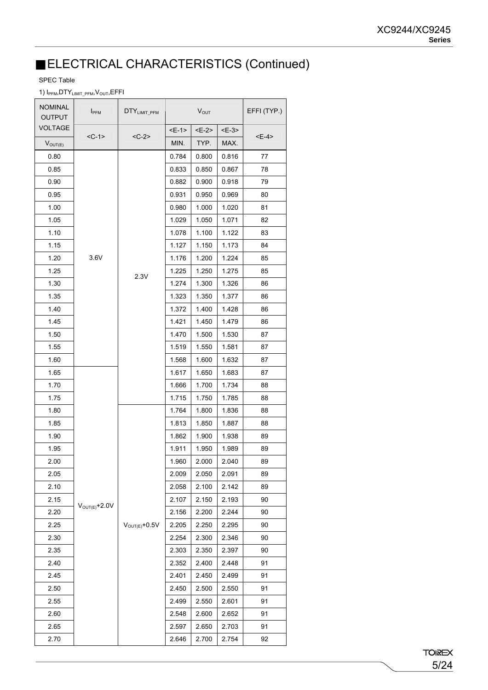### ELECTRICAL CHARACTERISTICS (Continued)

#### SPEC Table

#### 1) I<sub>PFM</sub>, DTY<sub>LIMIT\_PFM</sub>, V<sub>OUT</sub>, EFFI

| <b>NOMINAL</b><br><b>OUTPUT</b> | I <sub>PFM</sub>           | DTY <sub>LIMIT_PFM</sub>   |       | $V_{OUT}$ |        | EFFI (TYP.) |
|---------------------------------|----------------------------|----------------------------|-------|-----------|--------|-------------|
| <b>VOLTAGE</b>                  |                            |                            | $E-1$ | $E-2$     | $E-3>$ |             |
| $V_{OUT(E)}$                    | $<$ C-1>                   | $<$ C-2>                   | MIN.  | TYP.      | MAX.   | <e-4></e-4> |
| 0.80                            |                            |                            | 0.784 | 0.800     | 0.816  | 77          |
| 0.85                            |                            |                            | 0.833 | 0.850     | 0.867  | 78          |
| 0.90                            |                            |                            | 0.882 | 0.900     | 0.918  | 79          |
| 0.95                            |                            |                            | 0.931 | 0.950     | 0.969  | 80          |
| 1.00                            |                            |                            | 0.980 | 1.000     | 1.020  | 81          |
| 1.05                            |                            |                            | 1.029 | 1.050     | 1.071  | 82          |
| 1.10                            |                            |                            | 1.078 | 1.100     | 1.122  | 83          |
| 1.15                            |                            |                            | 1.127 | 1.150     | 1.173  | 84          |
| 1.20                            | 3.6V                       |                            | 1.176 | 1.200     | 1.224  | 85          |
| 1.25                            |                            | 2.3V                       | 1.225 | 1.250     | 1.275  | 85          |
| 1.30                            |                            |                            | 1.274 | 1.300     | 1.326  | 86          |
| 1.35                            |                            |                            | 1.323 | 1.350     | 1.377  | 86          |
| 1.40                            |                            |                            | 1.372 | 1.400     | 1.428  | 86          |
| 1.45                            |                            |                            | 1.421 | 1.450     | 1.479  | 86          |
| 1.50                            |                            |                            | 1.470 | 1.500     | 1.530  | 87          |
| 1.55                            |                            |                            | 1.519 | 1.550     | 1.581  | 87          |
| 1.60                            |                            |                            | 1.568 | 1.600     | 1.632  | 87          |
| 1.65                            |                            |                            | 1.617 | 1.650     | 1.683  | 87          |
| 1.70                            |                            |                            | 1.666 | 1.700     | 1.734  | 88          |
| 1.75                            |                            |                            | 1.715 | 1.750     | 1.785  | 88          |
| 1.80                            |                            |                            | 1.764 | 1.800     | 1.836  | 88          |
| 1.85                            |                            |                            | 1.813 | 1.850     | 1.887  | 88          |
| 1.90                            |                            |                            | 1.862 | 1.900     | 1.938  | 89          |
| 1.95                            |                            |                            | 1.911 | 1.950     | 1.989  | 89          |
| 2.00                            |                            |                            | 1.960 | 2.000     | 2.040  | 89          |
| 2.05                            |                            |                            | 2.009 | 2.050     | 2.091  | 89          |
| 2.10                            |                            |                            | 2.058 | 2.100     | 2.142  | 89          |
| 2.15                            |                            |                            | 2.107 | 2.150     | 2.193  | 90          |
| 2.20                            | $V_{\text{OUT}(E)} + 2.0V$ |                            | 2.156 | 2.200     | 2.244  | 90          |
| 2.25                            |                            | $V_{\text{OUT}(E)} + 0.5V$ | 2.205 | 2.250     | 2.295  | 90          |
| 2.30                            |                            |                            | 2.254 | 2.300     | 2.346  | 90          |
| 2.35                            |                            |                            | 2.303 | 2.350     | 2.397  | 90          |
| 2.40                            |                            |                            | 2.352 | 2.400     | 2.448  | 91          |
| 2.45                            |                            |                            | 2.401 | 2.450     | 2.499  | 91          |
| 2.50                            |                            |                            | 2.450 | 2.500     | 2.550  | 91          |
| 2.55                            |                            |                            | 2.499 | 2.550     | 2.601  | 91          |
| 2.60                            |                            |                            | 2.548 | 2.600     | 2.652  | 91          |
| 2.65                            |                            |                            | 2.597 | 2.650     | 2.703  | 91          |
| 2.70                            |                            |                            | 2.646 | 2.700     | 2.754  | 92          |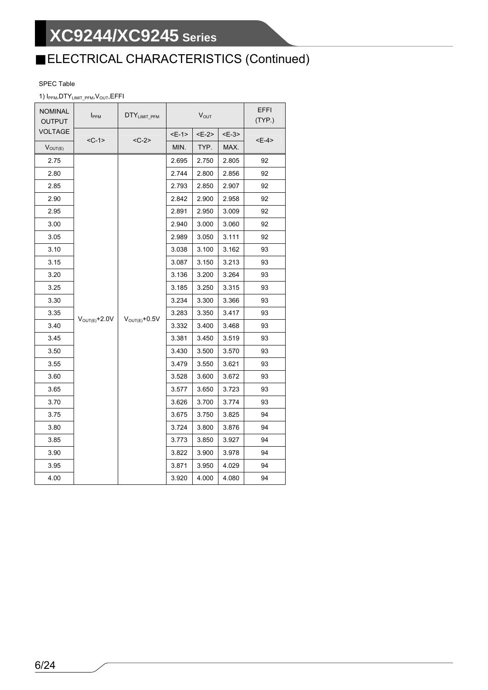# ELECTRICAL CHARACTERISTICS (Continued)

#### SPEC Table

#### 1) I<sub>PFM</sub>, DTY<sub>LIMIT</sub> PFM, V<sub>OUT</sub>, EFFI

| <b>NOMINAL</b><br><b>OUTPUT</b> | <b>I</b> PFM               | DTYLIMIT_PFM               |             | <b>V</b> <sub>OUT</sub> |        | EFFI<br>(TYP.) |
|---------------------------------|----------------------------|----------------------------|-------------|-------------------------|--------|----------------|
| VOLTAGE                         | $<$ C-1>                   | $<$ C-2>                   | <e-1></e-1> | <e-2></e-2>             | $E-3>$ | <e-4></e-4>    |
| $V_{OUT(E)}$                    |                            |                            | MIN.        | TYP.                    | MAX.   |                |
| 2.75                            |                            |                            | 2.695       | 2.750                   | 2.805  | 92             |
| 2.80                            |                            |                            | 2.744       | 2.800                   | 2.856  | 92             |
| 2.85                            |                            |                            | 2.793       | 2.850                   | 2.907  | 92             |
| 2.90                            |                            |                            | 2.842       | 2.900                   | 2.958  | 92             |
| 2.95                            |                            |                            | 2.891       | 2.950                   | 3.009  | 92             |
| 3.00                            |                            |                            | 2.940       | 3.000                   | 3.060  | 92             |
| 3.05                            |                            |                            | 2.989       | 3.050                   | 3.111  | 92             |
| 3.10                            |                            |                            | 3.038       | 3.100                   | 3.162  | 93             |
| 3.15                            |                            |                            | 3.087       | 3.150                   | 3.213  | 93             |
| 3.20                            |                            | $V_{\text{OUT}(E)} + 0.5V$ | 3.136       | 3.200                   | 3.264  | 93             |
| 3.25                            |                            |                            | 3.185       | 3.250                   | 3.315  | 93             |
| 3.30                            |                            |                            | 3.234       | 3.300                   | 3.366  | 93             |
| 3.35                            |                            |                            | 3.283       | 3.350                   | 3.417  | 93             |
| 3.40                            | $V_{\text{OUT}(E)} + 2.0V$ |                            | 3.332       | 3.400                   | 3.468  | 93             |
| 3.45                            |                            |                            | 3.381       | 3.450                   | 3.519  | 93             |
| 3.50                            |                            |                            | 3.430       | 3.500                   | 3.570  | 93             |
| 3.55                            |                            |                            | 3.479       | 3.550                   | 3.621  | 93             |
| 3.60                            |                            |                            | 3.528       | 3.600                   | 3.672  | 93             |
| 3.65                            |                            |                            | 3.577       | 3.650                   | 3.723  | 93             |
| 3.70                            |                            |                            | 3.626       | 3.700                   | 3.774  | 93             |
| 3.75                            |                            |                            | 3.675       | 3.750                   | 3.825  | 94             |
| 3.80                            |                            |                            | 3.724       | 3.800                   | 3.876  | 94             |
| 3.85                            |                            |                            | 3.773       | 3.850                   | 3.927  | 94             |
| 3.90                            |                            |                            | 3.822       | 3.900                   | 3.978  | 94             |
| 3.95                            |                            |                            | 3.871       | 3.950                   | 4.029  | 94             |
| 4.00                            |                            |                            | 3.920       | 4.000                   | 4.080  | 94             |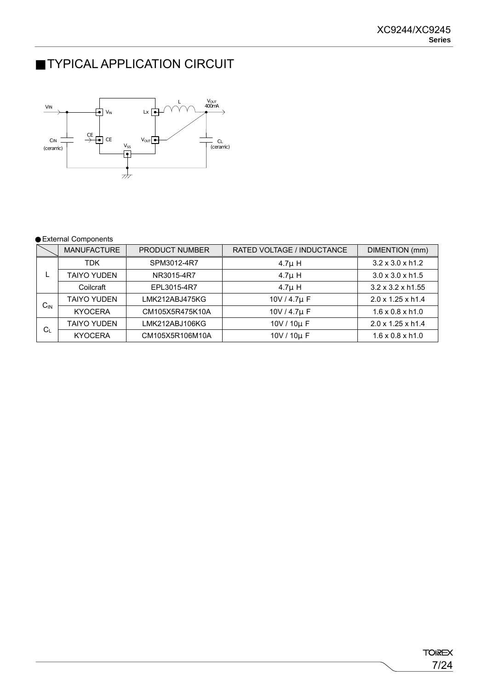## TYPICAL APPLICATION CIRCUIT



#### External Components

|              | <b>MANUFACTURE</b> | <b>PRODUCT NUMBER</b> | RATED VOLTAGE / INDUCTANCE | DIMENTION (mm)                |
|--------------|--------------------|-----------------------|----------------------------|-------------------------------|
|              | <b>TDK</b>         | SPM3012-4R7           | $4.7\mu$ H                 | $3.2 \times 3.0 \times h1.2$  |
|              | <b>TAIYO YUDEN</b> | NR3015-4R7            | $4.7\mu$ H                 | $3.0 \times 3.0 \times h1.5$  |
|              | Coilcraft          | EPL3015-4R7           | $4.7\mu$ H                 | $3.2 \times 3.2 \times h1.55$ |
|              | <b>TAIYO YUDEN</b> | LMK212ABJ475KG        | 10V / 4.7µ F               | 2.0 x 1.25 x h1.4             |
| $C_{\sf IN}$ | <b>KYOCERA</b>     | CM105X5R475K10A       | 10V / 4.7µ F               | $1.6 \times 0.8 \times h1.0$  |
|              | <b>TAIYO YUDEN</b> | LMK212ABJ106KG        | 10V / 10µ F                | 2.0 x 1.25 x h1.4             |
| $C_L$        | <b>KYOCERA</b>     | CM105X5R106M10A       | 10V / 10µ F                | $1.6 \times 0.8 \times h1.0$  |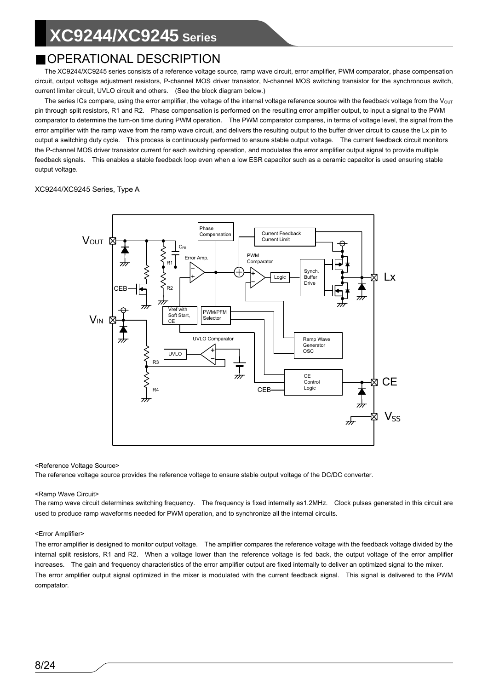### OPERATIONAL DESCRIPTION

The XC9244/XC9245 series consists of a reference voltage source, ramp wave circuit, error amplifier, PWM comparator, phase compensation circuit, output voltage adjustment resistors, P-channel MOS driver transistor, N-channel MOS switching transistor for the synchronous switch, current limiter circuit, UVLO circuit and others. (See the block diagram below.)

The series ICs compare, using the error amplifier, the voltage of the internal voltage reference source with the feedback voltage from the V<sub>OUT</sub> pin through split resistors, R1 and R2. Phase compensation is performed on the resulting error amplifier output, to input a signal to the PWM comparator to determine the turn-on time during PWM operation. The PWM comparator compares, in terms of voltage level, the signal from the error amplifier with the ramp wave from the ramp wave circuit, and delivers the resulting output to the buffer driver circuit to cause the Lx pin to output a switching duty cycle. This process is continuously performed to ensure stable output voltage. The current feedback circuit monitors the P-channel MOS driver transistor current for each switching operation, and modulates the error amplifier output signal to provide multiple feedback signals. This enables a stable feedback loop even when a low ESR capacitor such as a ceramic capacitor is used ensuring stable output voltage.

#### XC9244/XC9245 Series, Type A



#### <Reference Voltage Source>

The reference voltage source provides the reference voltage to ensure stable output voltage of the DC/DC converter.

#### <Ramp Wave Circuit>

The ramp wave circuit determines switching frequency. The frequency is fixed internally as1.2MHz. Clock pulses generated in this circuit are used to produce ramp waveforms needed for PWM operation, and to synchronize all the internal circuits.

#### <Error Amplifier>

The error amplifier is designed to monitor output voltage. The amplifier compares the reference voltage with the feedback voltage divided by the internal split resistors, R1 and R2. When a voltage lower than the reference voltage is fed back, the output voltage of the error amplifier increases. The gain and frequency characteristics of the error amplifier output are fixed internally to deliver an optimized signal to the mixer. The error amplifier output signal optimized in the mixer is modulated with the current feedback signal. This signal is delivered to the PWM compatator.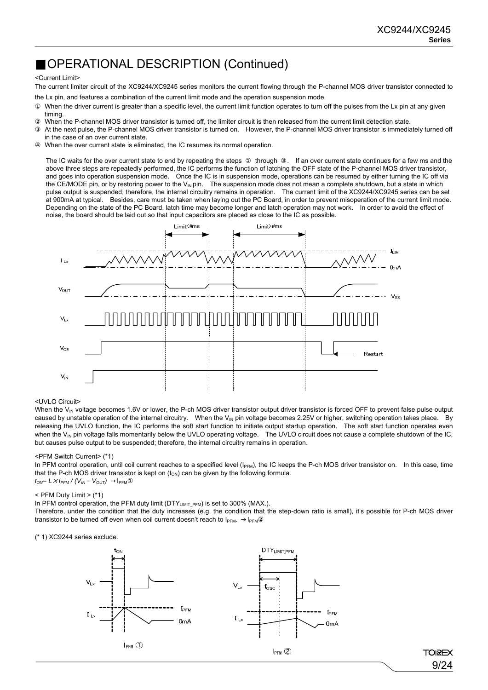### OPERATIONAL DESCRIPTION (Continued)

#### <Current Limit>

The current limiter circuit of the XC9244/XC9245 series monitors the current flowing through the P-channel MOS driver transistor connected to the Lx pin, and features a combination of the current limit mode and the operation suspension mode.

When the driver current is greater than a specific level, the current limit function operates to turn off the pulses from the Lx pin at any given timing.

When the P-channel MOS driver transistor is turned off, the limiter circuit is then released from the current limit detection state.

At the next pulse, the P-channel MOS driver transistor is turned on. However, the P-channel MOS driver transistor is immediately turned off in the case of an over current state.

When the over current state is eliminated, the IC resumes its normal operation.

The IC waits for the over current state to end by repeating the steps through . If an over current state continues for a few ms and the above three steps are repeatedly performed, the IC performs the function of latching the OFF state of the P-channel MOS driver transistor, and goes into operation suspension mode. Once the IC is in suspension mode, operations can be resumed by either turning the IC off via the CE/MODE pin, or by restoring power to the  $V_{\text{IN}}$  pin. The suspension mode does not mean a complete shutdown, but a state in which pulse output is suspended; therefore, the internal circuitry remains in operation. The current limit of the XC9244/XC9245 series can be set at 900mA at typical. Besides, care must be taken when laying out the PC Board, in order to prevent misoperation of the current limit mode. Depending on the state of the PC Board, latch time may become longer and latch operation may not work. In order to avoid the effect of noise, the board should be laid out so that input capacitors are placed as close to the IC as possible.



#### <UVLO Circuit>

When the V<sub>IN</sub> voltage becomes 1.6V or lower, the P-ch MOS driver transistor output driver transistor is forced OFF to prevent false pulse output caused by unstable operation of the internal circuitry. When the V<sub>IN</sub> pin voltage becomes 2.25V or higher, switching operation takes place. By releasing the UVLO function, the IC performs the soft start function to initiate output startup operation. The soft start function operates even when the V<sub>IN</sub> pin voltage falls momentarily below the UVLO operating voltage. The UVLO circuit does not cause a complete shutdown of the IC, but causes pulse output to be suspended; therefore, the internal circuitry remains in operation.

#### <PFM Switch Current> (\*1)

In PFM control operation, until coil current reaches to a specified level ( $I_{\text{PFM}}$ ), the IC keeps the P-ch MOS driver transistor on. In this case, time that the P-ch MOS driver transistor is kept on  $(t_{ON})$  can be given by the following formula. *tON= L*×*IPFM / (VIN VOUT)* IPFM

 $<$  PFM Duty Limit  $>$  (\*1)

In PFM control operation, the PFM duty limit ( $DTY_{LIMIT\ PFM}$ ) is set to 300% (MAX.).

Therefore, under the condition that the duty increases (e.g. the condition that the step-down ratio is small), it's possible for P-ch MOS driver transistor to be turned off even when coil current doesn't reach to  $I_{\text{PFM}}$ . I<sub>PFM</sub>

(\* 1) XC9244 series exclude.



**TOIREX** 9/24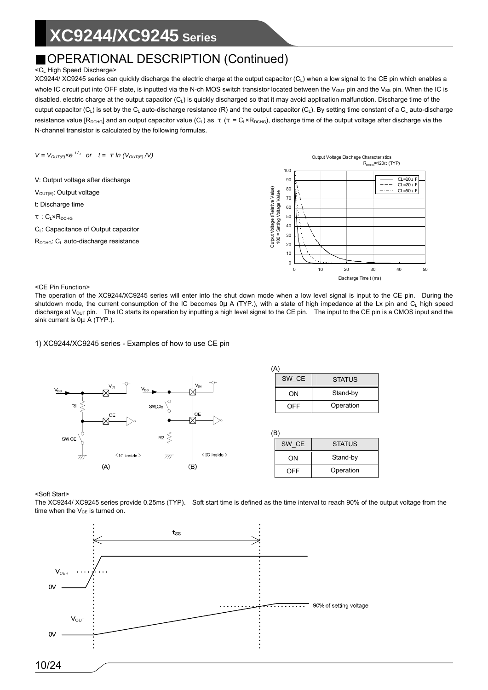### OPERATIONAL DESCRIPTION (Continued)

#### <CL High Speed Discharge>

XC9244/ XC9245 series can quickly discharge the electric charge at the output capacitor  $(C_1)$  when a low signal to the CE pin which enables a whole IC circuit put into OFF state, is inputted via the N-ch MOS switch transistor located between the V<sub>OUT</sub> pin and the V<sub>SS</sub> pin. When the IC is disabled, electric charge at the output capacitor (C<sub>L</sub>) is quickly discharged so that it may avoid application malfunction. Discharge time of the output capacitor  $(C_L)$  is set by the  $C_L$  auto-discharge resistance (R) and the output capacitor  $(C_L)$ . By setting time constant of a  $C_L$  auto-discharge resistance value  $[R_{DCHG}]$  and an output capacitor value (C<sub>L</sub>) as  $(= C_L \times R_{DCHG})$ , discharge time of the output voltage after discharge via the N-channel transistor is calculated by the following formulas.

 $V = V_{OUT/E)} \times e^{-t/}$  or  $t = ln (V_{OUT(E)} / V)$ 

V: Output voltage after discharge  $V_{\text{OUT(E)}}$ : Output voltage t: Discharge time : C<sub>L</sub>×R<sub>DCHG</sub> C<sub>L</sub>: Capacitance of Output capacitor  $R_{DCHG}$ : C<sub>L</sub> auto-discharge resistance



<CE Pin Function>

The operation of the XC9244/XC9245 series will enter into the shut down mode when a low level signal is input to the CE pin. During the shutdown mode, the current consumption of the IC becomes 0μ A (TYP.), with a state of high impedance at the Lx pin and C<sub>L</sub> high speed discharge at  $V<sub>OUT</sub>$  pin. The IC starts its operation by inputting a high level signal to the CE pin. The input to the CE pin is a CMOS input and the sink current is 0μ A (TYP.).

#### 1) XC9244/XC9245 series - Examples of how to use CE pin



| SW CE | <b>STATUS</b> |
|-------|---------------|
| ON    | Stand-by      |
| OFF   | Operation     |

| $\cdot$ $\sim$ $\cdot$ |               |  |  |
|------------------------|---------------|--|--|
| SW CE                  | <b>STATUS</b> |  |  |
| ΩN                     | Stand-by      |  |  |
| OFF                    | Operation     |  |  |

#### <Soft Start>

The XC9244/ XC9245 series provide 0.25ms (TYP). Soft start time is defined as the time interval to reach 90% of the output voltage from the time when the  $V_{CE}$  is turned on.

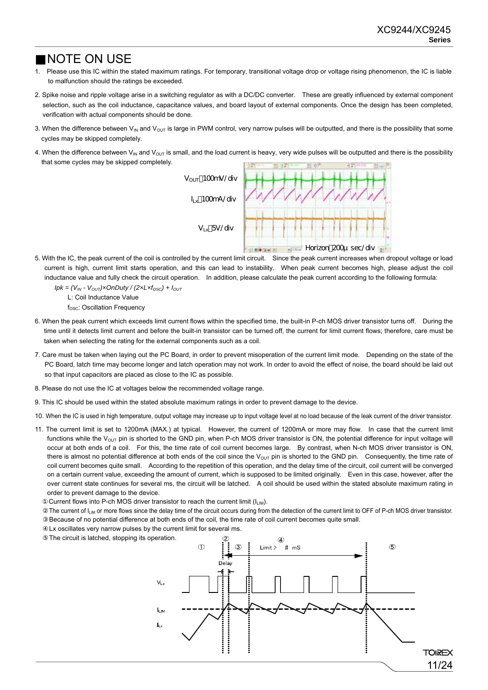### NOTE ON USE

- 1. Please use this IC within the stated maximum ratings. For temporary, transitional voltage drop or voltage rising phenomenon, the IC is liable to malfunction should the ratings be exceeded.
- 2. Spike noise and ripple voltage arise in a switching regulator as with a DC/DC converter. These are greatly influenced by external component selection, such as the coil inductance, capacitance values, and board layout of external components. Once the design has been completed, verification with actual components should be done.
- 3. When the difference between  $V_{\text{IN}}$  and  $V_{\text{OUT}}$  is large in PWM control, very narrow pulses will be outputted, and there is the possibility that some cycles may be skipped completely.
- 4. When the difference between  $V_{IN}$  and  $V_{OUT}$  is small, and the load current is heavy, very wide pulses will be outputted and there is the possibility that some cycles may be skipped completely.



5. With the IC, the peak current of the coil is controlled by the current limit circuit. Since the peak current increases when dropout voltage or load current is high, current limit starts operation, and this can lead to instability. When peak current becomes high, please adjust the coil inductance value and fully check the circuit operation. In addition, please calculate the peak current according to the following formula:

 $Ipk = (V_{IN} - V_{OUT}) \times OnDuty / (2 \times L \times f_{OSC}) + I_{OUT}$ 

L: Coil Inductance Value

 $f_{\rm OSC}$ : Oscillation Frequency

- 6. When the peak current which exceeds limit current flows within the specified time, the built-in P-ch MOS driver transistor turns off. During the time until it detects limit current and before the built-in transistor can be turned off, the current for limit current flows; therefore, care must be taken when selecting the rating for the external components such as a coil.
- 7. Care must be taken when laying out the PC Board, in order to prevent misoperation of the current limit mode. Depending on the state of the PC Board, latch time may become longer and latch operation may not work. In order to avoid the effect of noise, the board should be laid out so that input capacitors are placed as close to the IC as possible.
- 8. Please do not use the IC at voltages below the recommended voltage range.
- 9. This IC should be used within the stated absolute maximum ratings in order to prevent damage to the device.
- 10. When the IC is used in high temperature, output voltage may increase up to input voltage level at no load because of the leak current of the driver transistor.
- 11. The current limit is set to 1200mA (MAX.) at typical. However, the current of 1200mA or more may flow. In case that the current limit functions while the  $V_{\text{OUT}}$  pin is shorted to the GND pin, when P-ch MOS driver transistor is ON, the potential difference for input voltage will occur at both ends of a coil. For this, the time rate of coil current becomes large. By contrast, when N-ch MOS driver transistor is ON, there is almost no potential difference at both ends of the coil since the  $V_{\text{OUT}}$  pin is shorted to the GND pin. Consequently, the time rate of coil current becomes quite small. According to the repetition of this operation, and the delay time of the circuit, coil current will be converged on a certain current value, exceeding the amount of current, which is supposed to be limited originally. Even in this case, however, after the over current state continues for several ms, the circuit will be latched. A coil should be used within the stated absolute maximum rating in order to prevent damage to the device.

Current flows into P-ch MOS driver transistor to reach the current limit  $(I_{LM})$ .

The current of I<sub>LIM</sub> or more flows since the delay time of the circuit occurs during from the detection of the current limit to OFF of P-ch MOS driver transistor. Because of no potential difference at both ends of the coil, the time rate of coil current becomes quite small.

Lx oscillates very narrow pulses by the current limit for several ms.

The circuit is latched, stopping its operation.

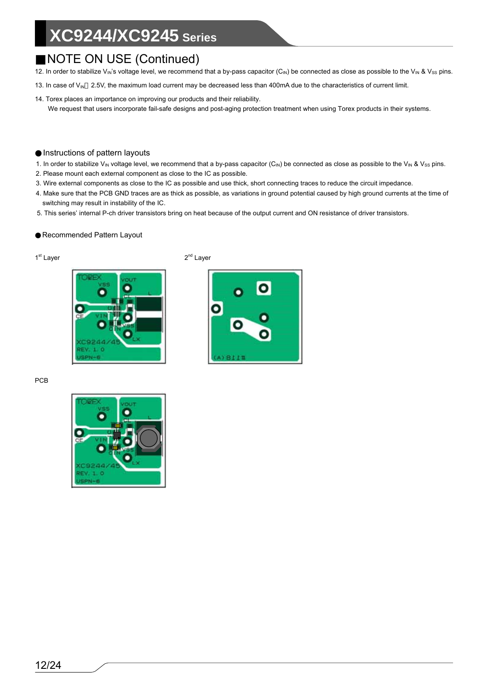### NOTE ON USE (Continued)

- 12. In order to stabilize V<sub>IN</sub>'s voltage level, we recommend that a by-pass capacitor (C<sub>IN</sub>) be connected as close as possible to the V<sub>IN</sub> & V<sub>SS</sub> pins.
- 13. In case of  $V_{\text{IN}}$  2.5V, the maximum load current may be decreased less than 400mA due to the characteristics of current limit.
- 14. Torex places an importance on improving our products and their reliability. We request that users incorporate fail-safe designs and post-aging protection treatment when using Torex products in their systems.

#### Instructions of pattern layouts

- 1. In order to stabilize V<sub>IN</sub> voltage level, we recommend that a by-pass capacitor (C<sub>IN</sub>) be connected as close as possible to the V<sub>IN</sub> & V<sub>SS</sub> pins.
- 2. Please mount each external component as close to the IC as possible.
- 3. Wire external components as close to the IC as possible and use thick, short connecting traces to reduce the circuit impedance.
- 4. Make sure that the PCB GND traces are as thick as possible, as variations in ground potential caused by high ground currents at the time of switching may result in instability of the IC.
- 5. This series' internal P-ch driver transistors bring on heat because of the output current and ON resistance of driver transistors.

#### Recommended Pattern Layout



1<sup>st</sup> Layer 2<sup>nd</sup> Layer



PCB

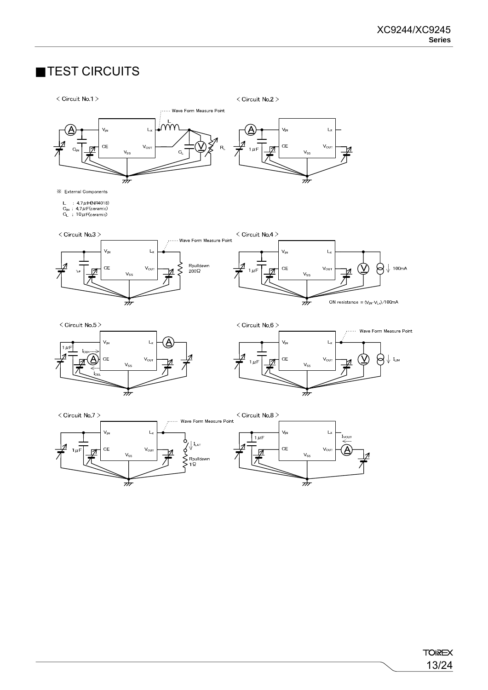### TEST CIRCUITS

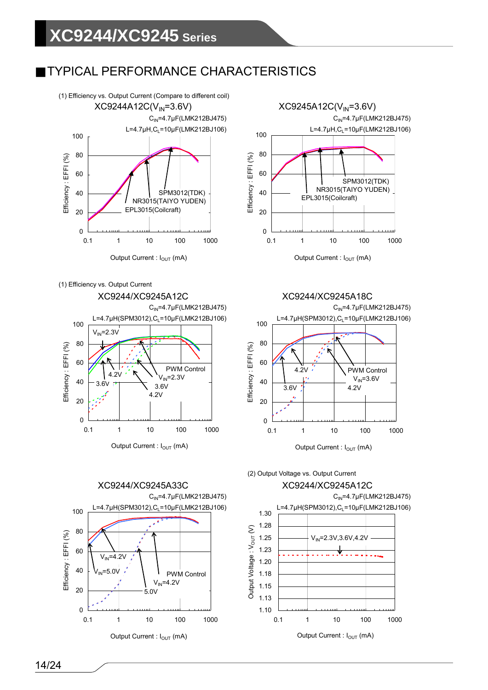### TYPICAL PERFORMANCE CHARACTERISTICS

















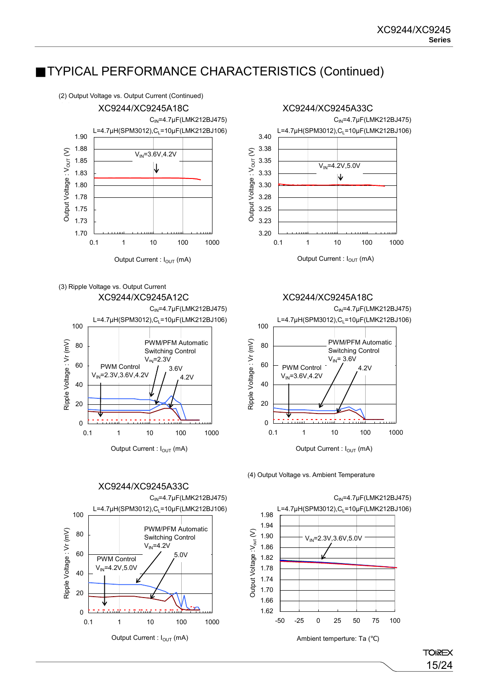

(3) Ripple Voltage vs. Output Current



XC9244/XC9245A33C 100 PWM/PFM Automatic Ripple Voltage: Vr (mV) Ripple Voltage : Vr (mV) 80 Switching Control  $V_{IN}$ =4.2V 60 5.0V PWM Control  $V_{IN}$ =4.2V,5.0V 40 20  $\overline{0}$ 0.1 1 10 100 1000

Output Current : I<sub>OUT</sub> (mA)





(4) Output Voltage vs. Ambient Temperature



**TOIREX** 15/24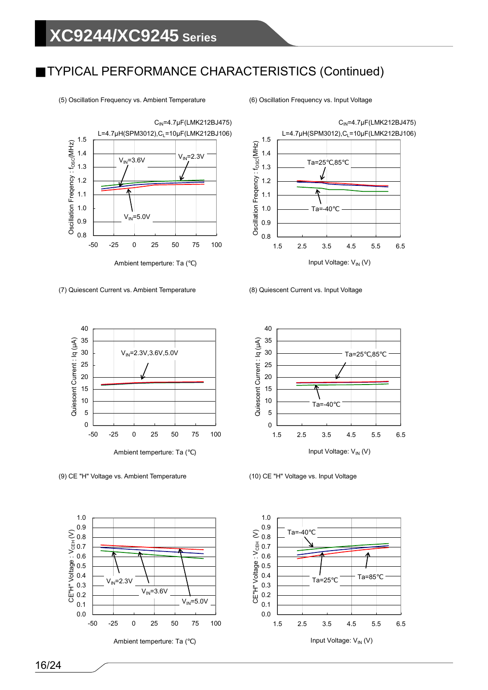



(7) Quiescent Current vs. Ambient Temperature



(9) CE "H" Voltage vs. Ambient Temperature (10) CE "H" Voltage vs. Input Voltage



Ambient temperture: Ta ()



(8) Quiescent Current vs. Input Voltage



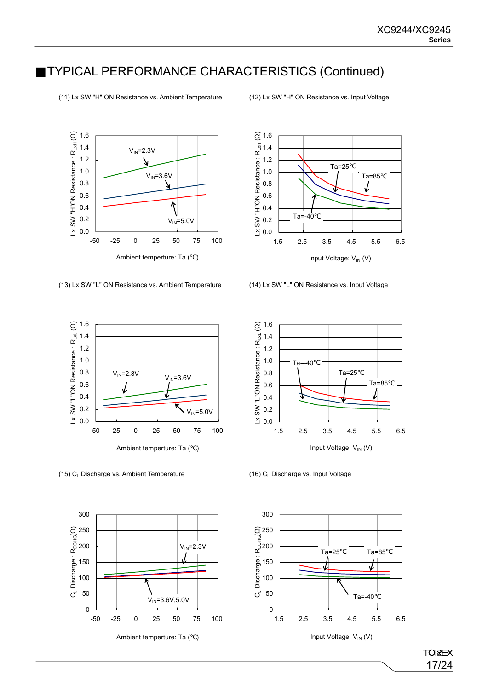1.6 Ω) Lx SW "H"ON Resistance :  $R_{\rm LxH}$  ( 1.4  $V_{IN}$ =2.3V 1.2 Æ 1.0  $V_{IN} = 3.6V$ 0.8 7 0.6  $\overline{v}$ 0.4 0.2  $V_{IN} = 5.0V$ 0.0 -50 -25 0 25 50 75 100 Ambient temperture: Ta ()

(13) Lx SW "L" ON Resistance vs. Ambient Temperature (14) Lx SW "L" ON Resistance vs. Input Voltage





(15)  $C_L$  Discharge vs. Ambient Temperature (16) C<sub>L</sub> Discharge vs. Input Voltage



Ambient temperture: Ta ()





(11) Lx SW "H" ON Resistance vs. Ambient Temperature (12) Lx SW "H" ON Resistance vs. Input Voltage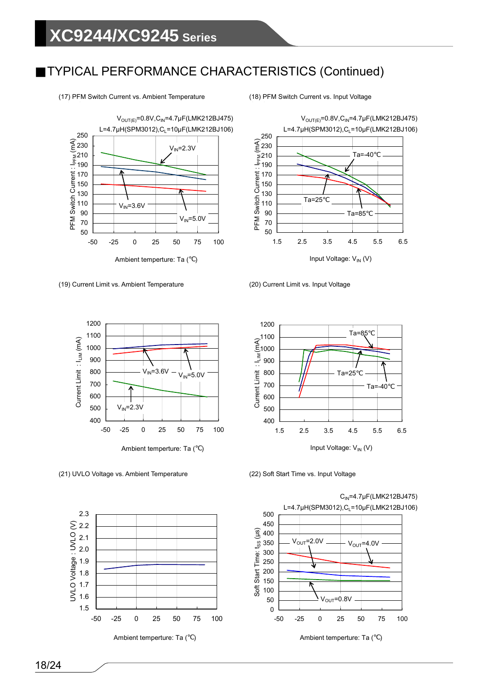

(19) Current Limit vs. Ambient Temperature (20) Current Limit vs. Input Voltage





(21) UVLO Voltage vs. Ambient Temperature (22) Soft Start Time vs. Input Voltage



Ambient temperture: Ta ()



 $C_{IN}$ =4.7µF(LMK212BJ475)  $L=4.7 \mu H(SPM3012)$ , $C_1=10 \mu F(LMK212BJ106)$  $\overline{0}$ 50 100 150 200 250 300 350 400 450 500 -50 -25 0 25 50 75 100 Soft Start Time: t<sub>ss</sub> (μs)  $V_{\text{OUT}}$ =2.0V  $\longrightarrow$   $V_{\text{OUT}}$ =4.0V  $V_{\text{OUT}}$ =0.8V

Ambient temperture: Ta ()

(17) PFM Switch Current vs. Ambient Temperature (18) PFM Switch Current vs. Input Voltage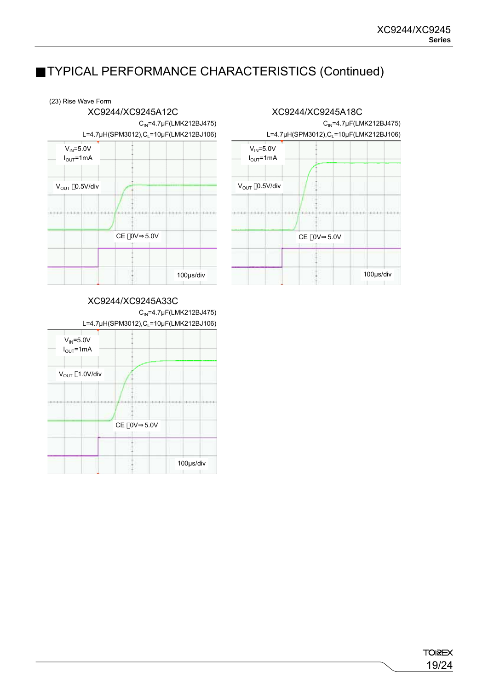#### (23) Rise Wave Form



#### XC9244/XC9245A33C

CIN=4.7μF(LMK212BJ475)



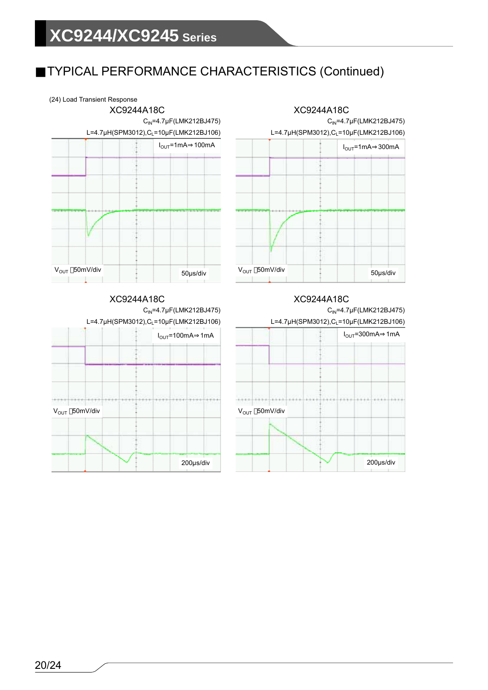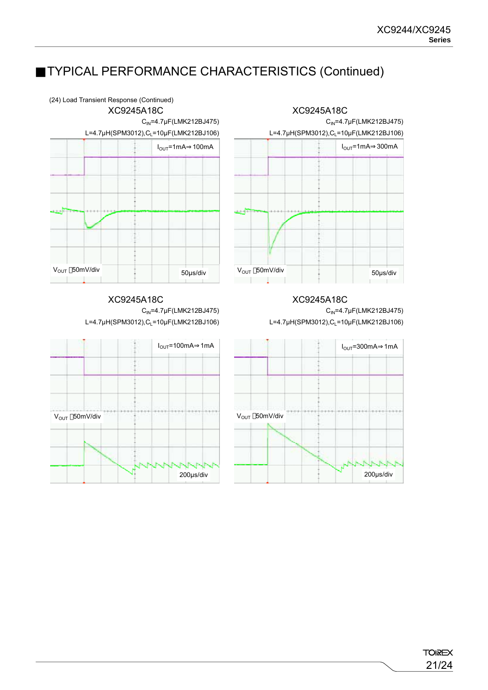

**TOIREX** 21/24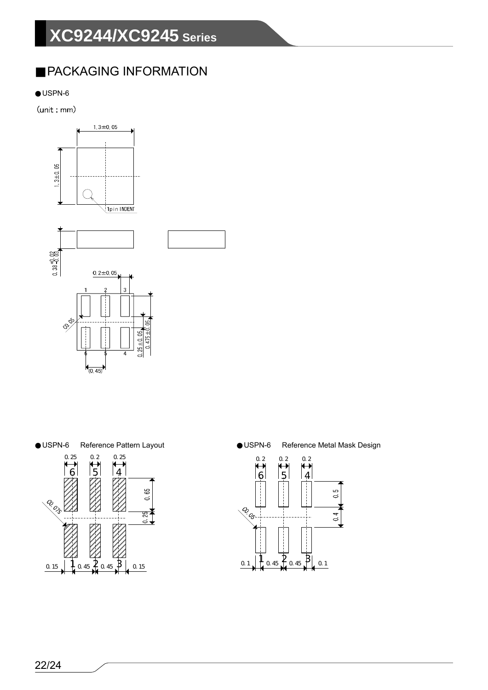### PACKAGING INFORMATION

USPN-6

(unit: mm)







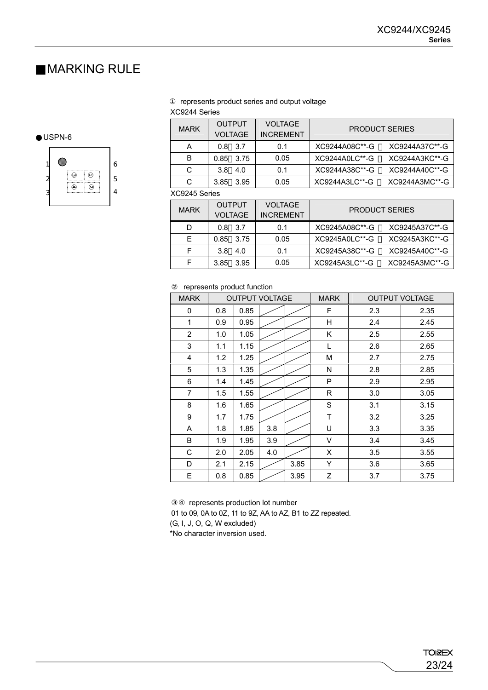### MARKING RULE

#### represents product series and output voltage

#### XC9244 Series

| <b>MARK</b> | <b>OUTPUT</b><br><b>VOLTAGE</b> | <b>VOLTAGE</b><br><b>INCREMENT</b> | <b>PRODUCT SERIES</b>            |  |  |
|-------------|---------------------------------|------------------------------------|----------------------------------|--|--|
|             | 3.7<br>0.8                      | 0.1                                | XC9244A37C**-G<br>XC9244A08C**-G |  |  |
| B           | 0.85 3.75                       | 0.05                               | XC9244A3KC**-G<br>XC9244A0LC**-G |  |  |
| C           | 3.8<br>4.0                      | 0.1                                | XC9244A38C**-G<br>XC9244A40C**-G |  |  |
| C           | 3.95<br>3.85                    | 0.05                               | XC9244A3LC**-G<br>XC9244A3MC**-G |  |  |

#### XC9245 Series

| <b>MARK</b> | <b>OUTPUT</b><br><b>VOLTAGE</b> | <b>VOLTAGE</b><br><b>INCREMENT</b> | <b>PRODUCT SERIES</b>            |  |  |
|-------------|---------------------------------|------------------------------------|----------------------------------|--|--|
| D           | $0.8$ 3.7                       | 0.1                                | XC9245A37C**-G<br>XC9245A08C**-G |  |  |
| Е           | 0.85 3.75                       | 0.05                               | XC9245A0LC**-G<br>XC9245A3KC**-G |  |  |
| F           | 4.0<br>3.8                      | 0.1                                | XC9245A38C**-G<br>XC9245A40C**-G |  |  |
| F           | - 3.95<br>3.85                  | 0.05                               | XC9245A3LC**-G<br>XC9245A3MC**-G |  |  |

#### represents product function

| <b>MARK</b>    | <b>OUTPUT VOLTAGE</b> |      |     | <b>MARK</b> | <b>OUTPUT VOLTAGE</b> |     |      |
|----------------|-----------------------|------|-----|-------------|-----------------------|-----|------|
| 0              | 0.8                   | 0.85 |     |             | F                     | 2.3 | 2.35 |
| 1              | 0.9                   | 0.95 |     |             | Η                     | 2.4 | 2.45 |
| $\overline{2}$ | 1.0                   | 1.05 |     |             | Κ                     | 2.5 | 2.55 |
| 3              | 1.1                   | 1.15 |     |             | L                     | 2.6 | 2.65 |
| $\overline{4}$ | 1.2                   | 1.25 |     |             | M                     | 2.7 | 2.75 |
| 5              | 1.3                   | 1.35 |     |             | N                     | 2.8 | 2.85 |
| 6              | 1.4                   | 1.45 |     |             | P                     | 2.9 | 2.95 |
| 7              | 1.5                   | 1.55 |     |             | R                     | 3.0 | 3.05 |
| 8              | 1.6                   | 1.65 |     |             | S                     | 3.1 | 3.15 |
| 9              | 1.7                   | 1.75 |     |             | T                     | 3.2 | 3.25 |
| A              | 1.8                   | 1.85 | 3.8 |             | U                     | 3.3 | 3.35 |
| B              | 1.9                   | 1.95 | 3.9 |             | V                     | 3.4 | 3.45 |
| С              | 2.0                   | 2.05 | 4.0 |             | X                     | 3.5 | 3.55 |
| D              | 2.1                   | 2.15 |     | 3.85        | Y                     | 3.6 | 3.65 |
| E              | 0.8                   | 0.85 |     | 3.95        | Z                     | 3.7 | 3.75 |

represents production lot number

01 to 09, 0A to 0Z, 11 to 9Z, AA to AZ, B1 to ZZ repeated.

(G, I, J, O, Q, W excluded)

\*No character inversion used.

#### USPN-6